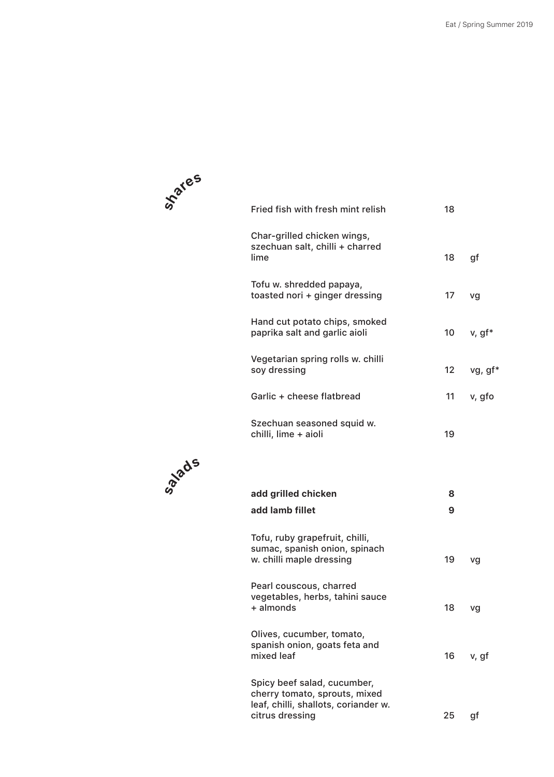

**salads**

| Fried fish with fresh mint relish                                        | 18               |         |
|--------------------------------------------------------------------------|------------------|---------|
| Char-grilled chicken wings,<br>szechuan salt, chilli + charred<br>lime   | 18               | gf      |
| Tofu w. shredded papaya,<br>toasted nori + ginger dressing               | 17               | vg      |
| Hand cut potato chips, smoked<br>paprika salt and garlic aioli           | 10               | v, gf*  |
| Vegetarian spring rolls w. chilli<br>soy dressing                        | 12 <sup>12</sup> | vg, gf* |
| Garlic + cheese flatbread                                                | 11               | v, gfo  |
| Szechuan seasoned squid w.<br>chilli, lime + aioli                       | 19               |         |
|                                                                          |                  |         |
| add grilled chicken<br>add lamb fillet                                   | 8<br>9           |         |
| Tofu, ruby grapefruit, chilli,<br>sumac, spanish onion, spinach          |                  |         |
| w. chilli maple dressing                                                 | 19               | vg      |
| Pearl couscous, charred<br>vegetables, herbs, tahini sauce<br>+ almonds  | 18               | vg      |
| Olives, cucumber, tomato,<br>spanish onion, goats feta and<br>mixed leaf | 16               | v, gf   |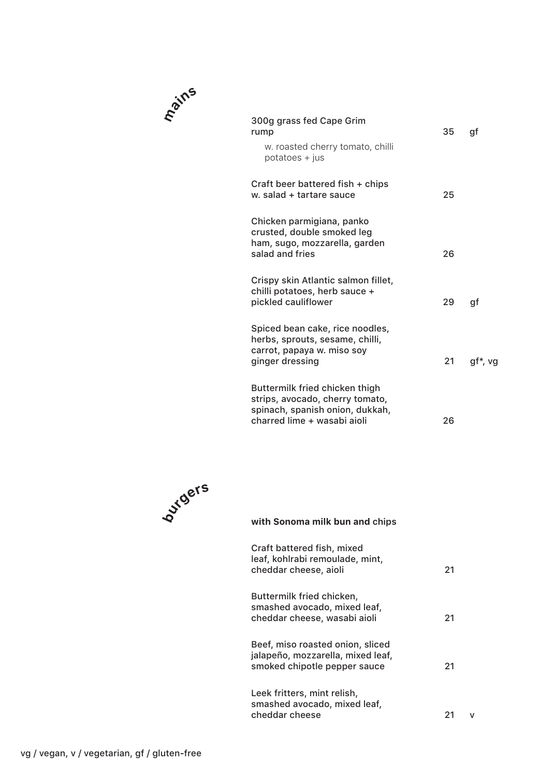| 300g grass fed Cape Grim<br>rump<br>w. roasted cherry tomato, chilli                                                                | 35 | qf      |
|-------------------------------------------------------------------------------------------------------------------------------------|----|---------|
| $potatoes + jus$<br>Craft beer battered fish + chips                                                                                |    |         |
| w. salad + tartare sauce                                                                                                            | 25 |         |
| Chicken parmigiana, panko<br>crusted, double smoked leg<br>ham, sugo, mozzarella, garden<br>salad and fries                         | 26 |         |
| Crispy skin Atlantic salmon fillet,<br>chilli potatoes, herb sauce +<br>pickled cauliflower                                         | 29 | gf      |
| Spiced bean cake, rice noodles,<br>herbs, sprouts, sesame, chilli,<br>carrot, papaya w. miso soy<br>ginger dressing                 | 21 | gf*, vg |
| Buttermilk fried chicken thigh<br>strips, avocado, cherry tomato,<br>spinach, spanish onion, dukkah,<br>charred lime + wasabi aioli | 26 |         |
|                                                                                                                                     |    |         |



**mains**

## **with Sonoma milk bun and chips**

| Craft battered fish, mixed<br>leaf, kohlrabi remoulade, mint,<br>cheddar cheese, aioli                | 21 |
|-------------------------------------------------------------------------------------------------------|----|
| Buttermilk fried chicken,<br>smashed avocado, mixed leaf,<br>cheddar cheese, wasabi aioli             | 21 |
| Beef, miso roasted onion, sliced<br>jalapeño, mozzarella, mixed leaf,<br>smoked chipotle pepper sauce | 21 |
| Leek fritters, mint relish,<br>smashed avocado, mixed leaf,<br>cheddar cheese                         |    |

 $\mathsf{v}$